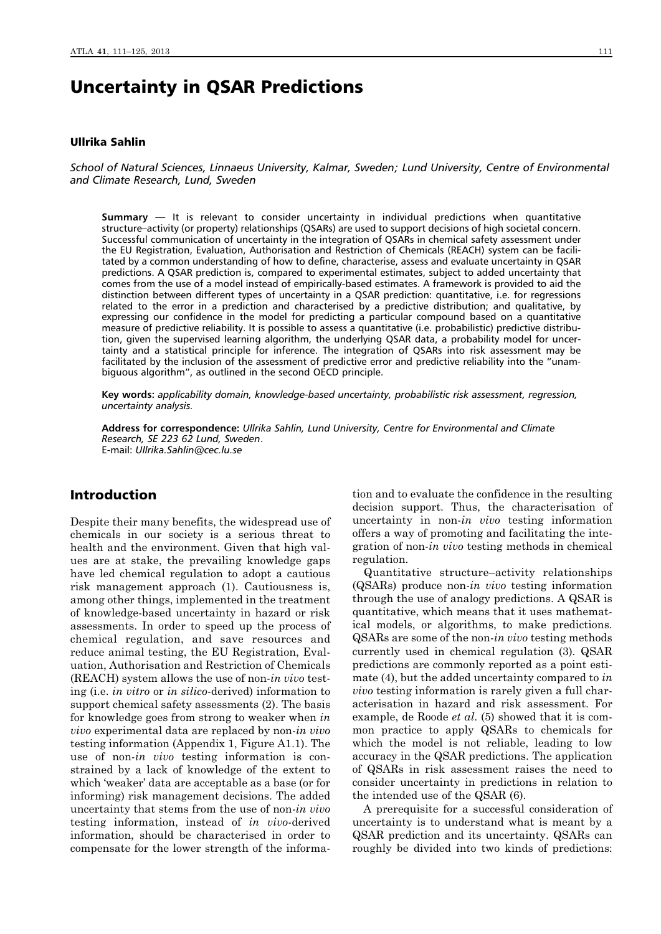# Uncertainty in QSAR Predictions

## Ullrika Sahlin

*School of Natural Sciences, Linnaeus University, Kalmar, Sweden; Lund University, Centre of Environmental and Climate Research, Lund, Sweden*

**Summary** — It is relevant to consider uncertainty in individual predictions when quantitative structure–activity (or property) relationships (QSARs) are used to support decisions of high societal concern. Successful communication of uncertainty in the integration of QSARs in chemical safety assessment under the EU Registration, Evaluation, Authorisation and Restriction of Chemicals (REACH) system can be facilitated by a common understanding of how to define, characterise, assess and evaluate uncertainty in QSAR predictions. A QSAR prediction is, compared to experimental estimates, subject to added uncertainty that comes from the use of a model instead of empirically-based estimates. A framework is provided to aid the distinction between different types of uncertainty in a QSAR prediction: quantitative, i.e. for regressions related to the error in a prediction and characterised by a predictive distribution; and qualitative, by expressing our confidence in the model for predicting a particular compound based on a quantitative measure of predictive reliability. It is possible to assess a quantitative (i.e. probabilistic) predictive distribution, given the supervised learning algorithm, the underlying QSAR data, a probability model for uncertainty and a statistical principle for inference. The integration of QSARs into risk assessment may be facilitated by the inclusion of the assessment of predictive error and predictive reliability into the "unambiguous algorithm", as outlined in the second OECD principle.

**Key words:** *applicability domain, knowledge-based uncertainty, probabilistic risk assessment, regression, uncertainty analysis.*

**Address for correspondence:** *Ullrika Sahlin, Lund University, Centre for Environmental and Climate Research, SE 223 62 Lund, Sweden*. E-mail: *Ullrika.Sahlin@cec.lu.se*

## Introduction

Despite their many benefits, the widespread use of chemicals in our society is a serious threat to health and the environment. Given that high values are at stake, the prevailing knowledge gaps have led chemical regulation to adopt a cautious risk management approach (1). Cautiousness is, among other things, implemented in the treatment of knowledge-based uncertainty in hazard or risk assessments. In order to speed up the process of chemical regulation, and save resources and reduce animal testing, the EU Registration, Evaluation, Authorisation and Restriction of Chemicals (REACH) system allows the use of non-*in vivo* testing (i.e. *in vitro* or *in silico*-derived) information to support chemical safety assessments (2). The basis for knowledge goes from strong to weaker when *in vivo* experimental data are replaced by non-*in vivo* testing information (Appendix 1, Figure A1.1). The use of non-*in vivo* testing information is constrained by a lack of knowledge of the extent to which 'weaker' data are acceptable as a base (or for informing) risk management decisions. The added uncertainty that stems from the use of non-*in vivo* testing information, instead of *in vivo*-derived information, should be characterised in order to compensate for the lower strength of the information and to evaluate the confidence in the resulting decision support. Thus, the characterisation of uncertainty in non-*in vivo* testing information offers a way of promoting and facilitating the integration of non-*in vivo* testing methods in chemical regulation.

Quantitative structure–activity relationships (QSARs) produce non-*in vivo* testing information through the use of analogy predictions. A QSAR is quantitative, which means that it uses mathematical models, or algorithms, to make predictions. QSARs are some of the non-*in vivo* testing methods currently used in chemical regulation (3). QSAR predictions are commonly reported as a point estimate (4), but the added uncertainty compared to *in vivo* testing information is rarely given a full characterisation in hazard and risk assessment. For example, de Roode *et al*. (5) showed that it is common practice to apply QSARs to chemicals for which the model is not reliable, leading to low accuracy in the QSAR predictions. The application of QSARs in risk assessment raises the need to consider uncertainty in predictions in relation to the intended use of the QSAR (6).

A prerequisite for a successful consideration of uncertainty is to understand what is meant by a QSAR prediction and its uncertainty. QSARs can roughly be divided into two kinds of predictions: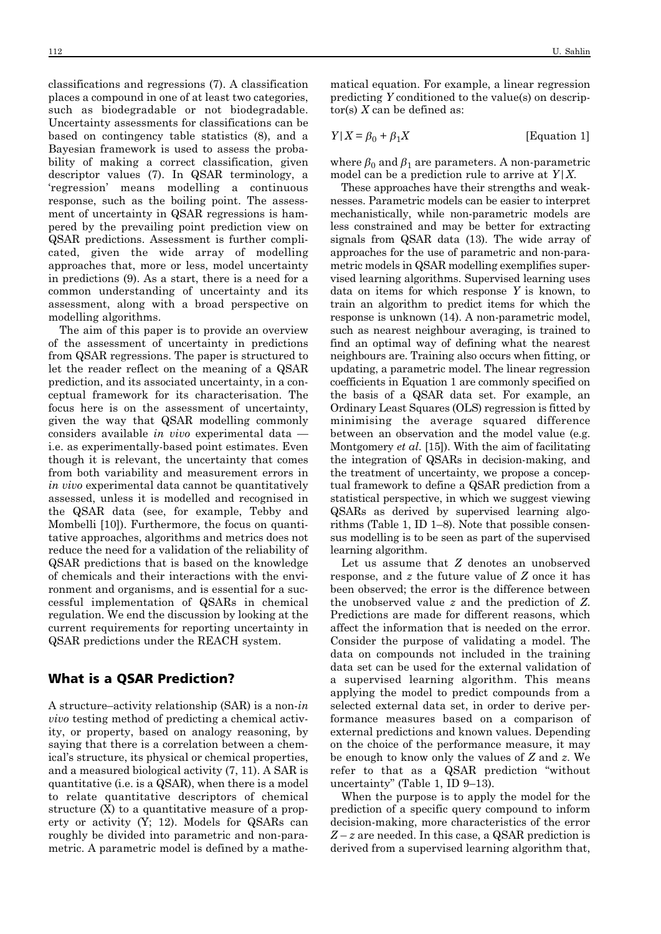classifications and regressions (7). A classification places a compound in one of at least two categories, such as biodegradable or not biodegradable. Uncertainty assessments for classifications can be based on contingency table statistics (8), and a Bayesian framework is used to assess the probability of making a correct classification, given descriptor values (7). In QSAR terminology, a 'regression' means modelling a continuous response, such as the boiling point. The assessment of uncertainty in QSAR regressions is hampered by the prevailing point prediction view on QSAR predictions. Assessment is further complicated, given the wide array of modelling approaches that, more or less, model uncertainty in predictions (9). As a start, there is a need for a common understanding of uncertainty and its assessment, along with a broad perspective on modelling algorithms.

The aim of this paper is to provide an overview of the assessment of uncertainty in predictions from QSAR regressions. The paper is structured to let the reader reflect on the meaning of a QSAR prediction, and its associated uncertainty, in a conceptual framework for its characterisation. The focus here is on the assessment of uncertainty, given the way that QSAR modelling commonly considers available *in vivo* experimental data i.e. as experimentally-based point estimates. Even though it is relevant, the uncertainty that comes from both variability and measurement errors in *in vivo* experimental data cannot be quantitatively assessed, unless it is modelled and recognised in the QSAR data (see, for example, Tebby and Mombelli [10]). Furthermore, the focus on quantitative approaches, algorithms and metrics does not reduce the need for a validation of the reliability of QSAR predictions that is based on the knowledge of chemicals and their interactions with the environment and organisms, and is essential for a successful implementation of QSARs in chemical regulation. We end the discussion by looking at the current requirements for reporting uncertainty in QSAR predictions under the REACH system.

### What is a QSAR Prediction?

A structure–activity relationship (SAR) is a non-*in vivo* testing method of predicting a chemical activity, or property, based on analogy reasoning, by saying that there is a correlation between a chemical's structure, its physical or chemical properties, and a measured biological activity (7, 11). A SAR is quantitative (i.e. is a QSAR), when there is a model to relate quantitative descriptors of chemical structure (X) to a quantitative measure of a property or activity (Y; 12). Models for QSARs can roughly be divided into parametric and non-parametric. A parametric model is defined by a mathematical equation. For example, a linear regression predicting *Y* conditioned to the value(s) on descriptor(s) *X* can be defined as:

$$
Y|X = \beta_0 + \beta_1 X \qquad \qquad \text{[Equation 1]}
$$

where  $\beta_0$  and  $\beta_1$  are parameters. A non-parametric model can be a prediction rule to arrive at *Y*|*X*.

These approaches have their strengths and weaknesses. Parametric models can be easier to interpret mechanistically, while non-parametric models are less constrained and may be better for extracting signals from QSAR data (13). The wide array of approaches for the use of parametric and non-parametric models in QSAR modelling exemplifies supervised learning algorithms. Supervised learning uses data on items for which response *Y* is known, to train an algorithm to predict items for which the response is unknown (14). A non-parametric model, such as nearest neighbour averaging, is trained to find an optimal way of defining what the nearest neighbours are. Training also occurs when fitting, or updating, a parametric model. The linear regression coefficients in Equation 1 are commonly specified on the basis of a QSAR data set. For example, an Ordinary Least Squares (OLS) regression is fitted by minimising the average squared difference between an observation and the model value (e.g. Montgomery *et al*. [15]). With the aim of facilitating the integration of QSARs in decision-making, and the treatment of uncertainty, we propose a conceptual framework to define a QSAR prediction from a statistical perspective, in which we suggest viewing QSARs as derived by supervised learning algorithms (Table 1, ID 1–8). Note that possible consensus modelling is to be seen as part of the supervised learning algorithm.

Let us assume that *Z* denotes an unobserved response, and *z* the future value of *Z* once it has been observed; the error is the difference between the unobserved value *z* and the prediction of *Z*. Predictions are made for different reasons, which affect the information that is needed on the error. Consider the purpose of validating a model. The data on compounds not included in the training data set can be used for the external validation of a supervised learning algorithm. This means applying the model to predict compounds from a selected external data set, in order to derive performance measures based on a comparison of external predictions and known values. Depending on the choice of the performance measure, it may be enough to know only the values of *Z* and *z*. We refer to that as a QSAR prediction "without uncertainty" (Table 1, ID 9–13).

When the purpose is to apply the model for the prediction of a specific query compound to inform decision-making, more characteristics of the error *Z* – *z* are needed. In this case, a QSAR prediction is derived from a supervised learning algorithm that,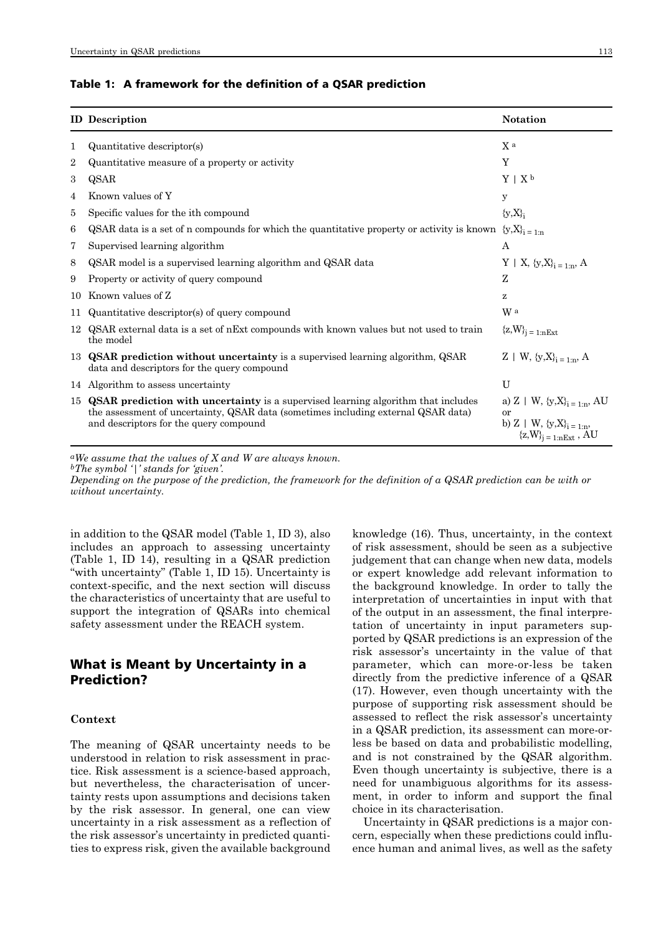#### Table 1: A framework for the definition of a QSAR prediction

|                | <b>ID</b> Description                                                                                                                                                                                               | <b>Notation</b>                                                                                               |
|----------------|---------------------------------------------------------------------------------------------------------------------------------------------------------------------------------------------------------------------|---------------------------------------------------------------------------------------------------------------|
| 1              | Quantitative descriptor(s)                                                                                                                                                                                          | X a                                                                                                           |
| $\overline{2}$ | Quantitative measure of a property or activity                                                                                                                                                                      | Y                                                                                                             |
| 3              | QSAR                                                                                                                                                                                                                | $Y \mid X^b$                                                                                                  |
| 4              | Known values of Y                                                                                                                                                                                                   | y                                                                                                             |
| 5              | Specific values for the ith compound                                                                                                                                                                                | ${y,X}_i$                                                                                                     |
| 6              | QSAR data is a set of n compounds for which the quantitative property or activity is known                                                                                                                          | ${y,X}_{i=1:n}$                                                                                               |
| 7              | Supervised learning algorithm                                                                                                                                                                                       | A                                                                                                             |
| 8              | QSAR model is a supervised learning algorithm and QSAR data                                                                                                                                                         | $Y \mid X, \{y, X\}_{i=1:n}, A$                                                                               |
| 9              | Property or activity of query compound                                                                                                                                                                              | Ζ                                                                                                             |
| 10             | Known values of Z                                                                                                                                                                                                   | z                                                                                                             |
| 11             | Quantitative descriptor(s) of query compound                                                                                                                                                                        | W a                                                                                                           |
| 12             | QSAR external data is a set of nExt compounds with known values but not used to train<br>the model                                                                                                                  | ${z,W}_{j=1:nExt}$                                                                                            |
|                | 13 QSAR prediction without uncertainty is a supervised learning algorithm, QSAR<br>data and descriptors for the query compound                                                                                      | $Z + W$ , $\{y, X\}_{i=1}^{n}$ , A                                                                            |
|                | 14 Algorithm to assess uncertainty                                                                                                                                                                                  | U                                                                                                             |
|                | 15 QSAR prediction with uncertainty is a supervised learning algorithm that includes<br>the assessment of uncertainty, QSAR data (sometimes including external QSAR data)<br>and descriptors for the query compound | a) Z   W, $\{y,X\}_{i=1:n}$ , AU<br>$\alpha r$<br>b) Z   W, $\{y,X\}_{i=1:n}$ ,<br>${z, W}_{i = 1:nExt}$ , AU |

*aWe assume that the values of X and W are always known.*

*bThe symbol '|' stands for 'given'.*

*Depending on the purpose of the prediction, the framework for the definition of a QSAR prediction can be with or without uncertainty.*

in addition to the QSAR model (Table 1, ID 3), also includes an approach to assessing uncertainty (Table 1, ID 14), resulting in a QSAR prediction "with uncertainty" (Table 1, ID 15). Uncertainty is context-specific, and the next section will discuss the characteristics of uncertainty that are useful to support the integration of QSARs into chemical safety assessment under the REACH system.

## What is Meant by Uncertainty in a Prediction?

#### **Context**

The meaning of QSAR uncertainty needs to be understood in relation to risk assessment in practice. Risk assessment is a science-based approach, but nevertheless, the characterisation of uncertainty rests upon assumptions and decisions taken by the risk assessor. In general, one can view uncertainty in a risk assessment as a reflection of the risk assessor's uncertainty in predicted quantities to express risk, given the available background knowledge (16). Thus, uncertainty, in the context of risk assessment, should be seen as a subjective judgement that can change when new data, models or expert knowledge add relevant information to the background knowledge. In order to tally the interpretation of uncertainties in input with that of the output in an assessment, the final interpretation of uncertainty in input parameters supported by QSAR predictions is an expression of the risk assessor's uncertainty in the value of that parameter, which can more-or-less be taken directly from the predictive inference of a QSAR (17). However, even though uncertainty with the purpose of supporting risk assessment should be assessed to reflect the risk assessor's uncertainty in a QSAR prediction, its assessment can more-orless be based on data and probabilistic modelling, and is not constrained by the QSAR algorithm. Even though uncertainty is subjective, there is a need for unambiguous algorithms for its assessment, in order to inform and support the final choice in its characterisation.

Uncertainty in QSAR predictions is a major concern, especially when these predictions could influence human and animal lives, as well as the safety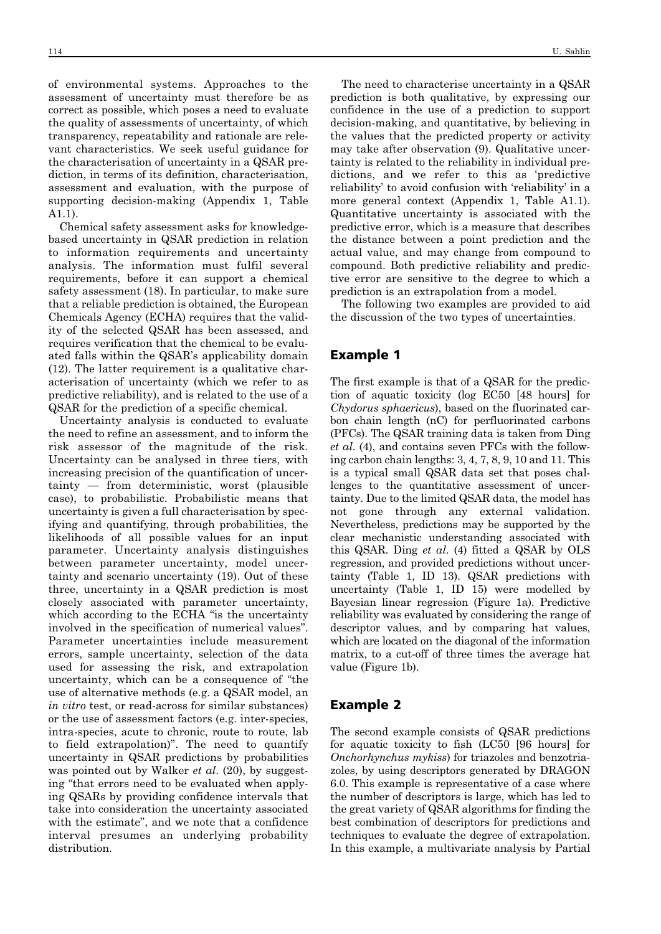of environmental systems. Approaches to the assessment of uncertainty must therefore be as correct as possible, which poses a need to evaluate the quality of assessments of uncertainty, of which transparency, repeatability and rationale are relevant characteristics. We seek useful guidance for the characterisation of uncertainty in a QSAR prediction, in terms of its definition, characterisation, assessment and evaluation, with the purpose of supporting decision-making (Appendix 1, Table A1.1).

Chemical safety assessment asks for knowledgebased uncertainty in QSAR prediction in relation to information requirements and uncertainty analysis. The information must fulfil several requirements, before it can support a chemical safety assessment (18). In particular, to make sure that a reliable prediction is obtained, the European Chemicals Agency (ECHA) requires that the validity of the selected QSAR has been assessed, and requires verification that the chemical to be evaluated falls within the QSAR's applicability domain (12). The latter requirement is a qualitative characterisation of uncertainty (which we refer to as predictive reliability), and is related to the use of a QSAR for the prediction of a specific chemical.

Uncertainty analysis is conducted to evaluate the need to refine an assessment, and to inform the risk assessor of the magnitude of the risk. Uncertainty can be analysed in three tiers, with increasing precision of the quantification of uncertainty — from deterministic, worst (plausible case), to probabilistic. Probabilistic means that uncertainty is given a full characterisation by specifying and quantifying, through probabilities, the likelihoods of all possible values for an input parameter. Uncertainty analysis distinguishes between parameter uncertainty, model uncertainty and scenario uncertainty (19). Out of these three, uncertainty in a QSAR prediction is most closely associated with parameter uncertainty, which according to the ECHA "is the uncertainty involved in the specification of numerical values". Parameter uncertainties include measurement errors, sample uncertainty, selection of the data used for assessing the risk, and extrapolation uncertainty, which can be a consequence of "the use of alternative methods (e.g. a QSAR model, an *in vitro* test, or read-across for similar substances) or the use of assessment factors (e.g. inter-species, intra-species, acute to chronic, route to route, lab to field extrapolation)". The need to quantify uncertainty in QSAR predictions by probabilities was pointed out by Walker *et al*. (20), by suggesting "that errors need to be evaluated when applying QSARs by providing confidence intervals that take into consideration the uncertainty associated with the estimate", and we note that a confidence interval presumes an underlying probability distribution.

The need to characterise uncertainty in a QSAR prediction is both qualitative, by expressing our confidence in the use of a prediction to support decision-making, and quantitative, by believing in the values that the predicted property or activity may take after observation (9). Qualitative uncertainty is related to the reliability in individual predictions, and we refer to this as 'predictive reliability' to avoid confusion with 'reliability' in a more general context (Appendix 1, Table A1.1). Quantitative uncertainty is associated with the predictive error, which is a measure that describes the distance between a point prediction and the actual value, and may change from compound to compound. Both predictive reliability and predictive error are sensitive to the degree to which a prediction is an extrapolation from a model.

The following two examples are provided to aid the discussion of the two types of uncertainties.

### Example 1

The first example is that of a QSAR for the prediction of aquatic toxicity (log EC50 [48 hours] for *Chydorus sphaericus*), based on the fluorinated carbon chain length (nC) for perfluorinated carbons (PFCs). The QSAR training data is taken from Ding *et al*. (4), and contains seven PFCs with the following carbon chain lengths: 3, 4, 7, 8, 9, 10 and 11. This is a typical small QSAR data set that poses challenges to the quantitative assessment of uncertainty. Due to the limited QSAR data, the model has not gone through any external validation. Nevertheless, predictions may be supported by the clear mechanistic understanding associated with this QSAR. Ding *et al*. (4) fitted a QSAR by OLS regression, and provided predictions without uncertainty (Table 1, ID 13). QSAR predictions with uncertainty (Table 1, ID 15) were modelled by Bayesian linear regression (Figure 1a). Predictive reliability was evaluated by considering the range of descriptor values, and by comparing hat values, which are located on the diagonal of the information matrix, to a cut-off of three times the average hat value (Figure 1b).

## Example 2

The second example consists of QSAR predictions for aquatic toxicity to fish (LC50 [96 hours] for *Onchorhynchus mykiss*) for triazoles and benzotriazoles, by using descriptors generated by DRAGON 6.0. This example is representative of a case where the number of descriptors is large, which has led to the great variety of QSAR algorithms for finding the best combination of descriptors for predictions and techniques to evaluate the degree of extrapolation. In this example, a multivariate analysis by Partial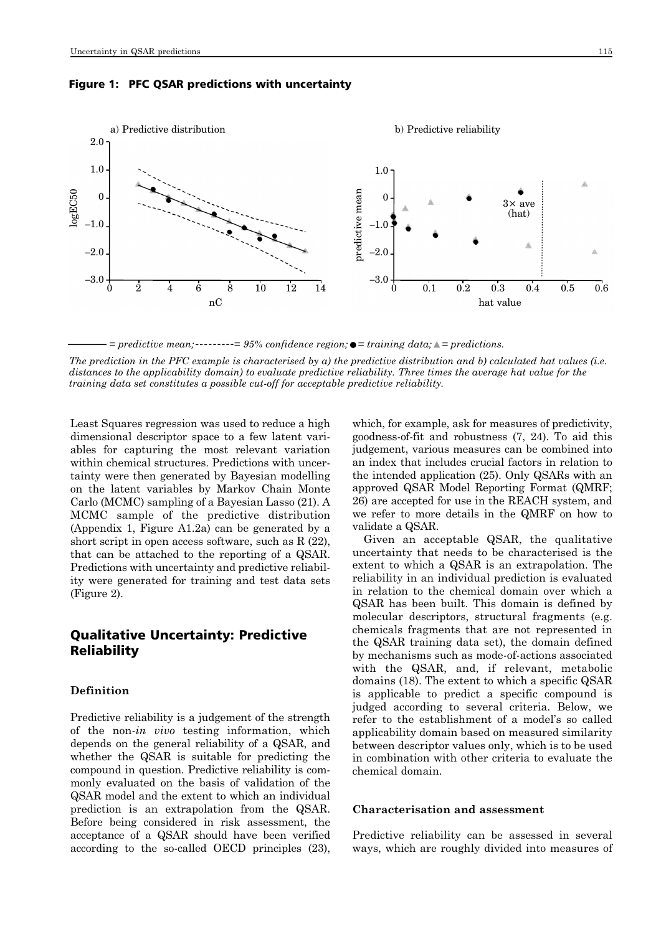#### Figure 1: PFC QSAR predictions with uncertainty



 $\tau$  = predictive mean;  $\tau$ --------= 95% confidence region;  $\bullet$  = training data;  $\triangle$  = predictions.

*The prediction in the PFC example is characterised by a) the predictive distribution and b) calculated hat values (i.e. distances to the applicability domain) to evaluate predictive reliability. Three times the average hat value for the training data set constitutes a possible cut-off for acceptable predictive reliability.*

Least Squares regression was used to reduce a high dimensional descriptor space to a few latent variables for capturing the most relevant variation within chemical structures. Predictions with uncertainty were then generated by Bayesian modelling on the latent variables by Markov Chain Monte Carlo (MCMC) sampling of a Bayesian Lasso (21). A MCMC sample of the predictive distribution (Appendix 1, Figure A1.2a) can be generated by a short script in open access software, such as  $R(22)$ , that can be attached to the reporting of a QSAR. Predictions with uncertainty and predictive reliability were generated for training and test data sets (Figure 2).

## Qualitative Uncertainty: Predictive **Reliability**

### **Definition**

Predictive reliability is a judgement of the strength of the non-*in vivo* testing information, which depends on the general reliability of a QSAR, and whether the QSAR is suitable for predicting the compound in question. Predictive reliability is commonly evaluated on the basis of validation of the QSAR model and the extent to which an individual prediction is an extrapolation from the QSAR. Before being considered in risk assessment, the acceptance of a QSAR should have been verified according to the so-called OECD principles (23),

which, for example, ask for measures of predictivity, goodness-of-fit and robustness (7, 24). To aid this judgement, various measures can be combined into an index that includes crucial factors in relation to the intended application (25). Only QSARs with an approved QSAR Model Reporting Format (QMRF; 26) are accepted for use in the REACH system, and we refer to more details in the QMRF on how to validate a QSAR.

Given an acceptable QSAR, the qualitative uncertainty that needs to be characterised is the extent to which a QSAR is an extrapolation. The reliability in an individual prediction is evaluated in relation to the chemical domain over which a QSAR has been built. This domain is defined by molecular descriptors, structural fragments (e.g. chemicals fragments that are not represented in the QSAR training data set), the domain defined by mechanisms such as mode-of-actions associated with the QSAR, and, if relevant, metabolic domains (18). The extent to which a specific QSAR is applicable to predict a specific compound is judged according to several criteria. Below, we refer to the establishment of a model's so called applicability domain based on measured similarity between descriptor values only, which is to be used in combination with other criteria to evaluate the chemical domain.

#### **Characterisation and assessment**

Predictive reliability can be assessed in several ways, which are roughly divided into measures of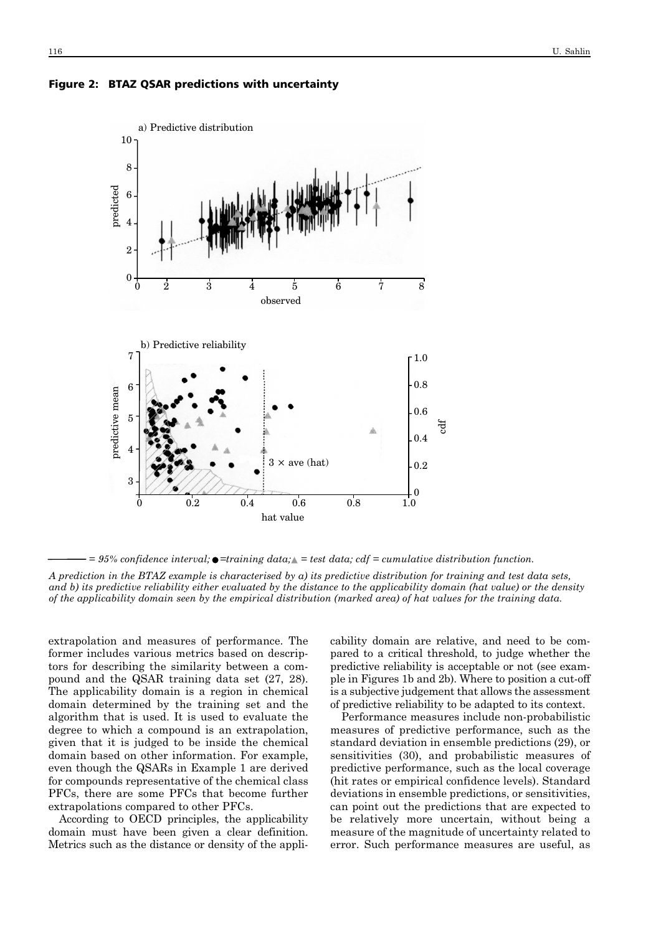



 $= 95\%$  confidence interval;  $\bullet =$ training data;  $\triangle =$  test data; cdf = cumulative distribution function.

*A prediction in the BTAZ example is characterised by a) its predictive distribution for training and test data sets, and b) its predictive reliability either evaluated by the distance to the applicability domain (hat value) or the density of the applicability domain seen by the empirical distribution (marked area) of hat values for the training data.* 

extrapolation and measures of performance. The former includes various metrics based on descriptors for describing the similarity between a compound and the QSAR training data set (27, 28). The applicability domain is a region in chemical domain determined by the training set and the algorithm that is used. It is used to evaluate the degree to which a compound is an extrapolation, given that it is judged to be inside the chemical domain based on other information. For example, even though the QSARs in Example 1 are derived for compounds representative of the chemical class PFCs, there are some PFCs that become further extrapolations compared to other PFCs.

According to OECD principles, the applicability domain must have been given a clear definition. Metrics such as the distance or density of the applicability domain are relative, and need to be compared to a critical threshold, to judge whether the predictive reliability is acceptable or not (see example in Figures 1b and 2b). Where to position a cut-off is a subjective judgement that allows the assessment of predictive reliability to be adapted to its context.

Performance measures include non-probabilistic measures of predictive performance, such as the standard deviation in ensemble predictions (29), or sensitivities (30), and probabilistic measures of predictive performance, such as the local coverage (hit rates or empirical confidence levels). Standard deviations in ensemble predictions, or sensitivities, can point out the predictions that are expected to be relatively more uncertain, without being a measure of the magnitude of uncertainty related to error. Such performance measures are useful, as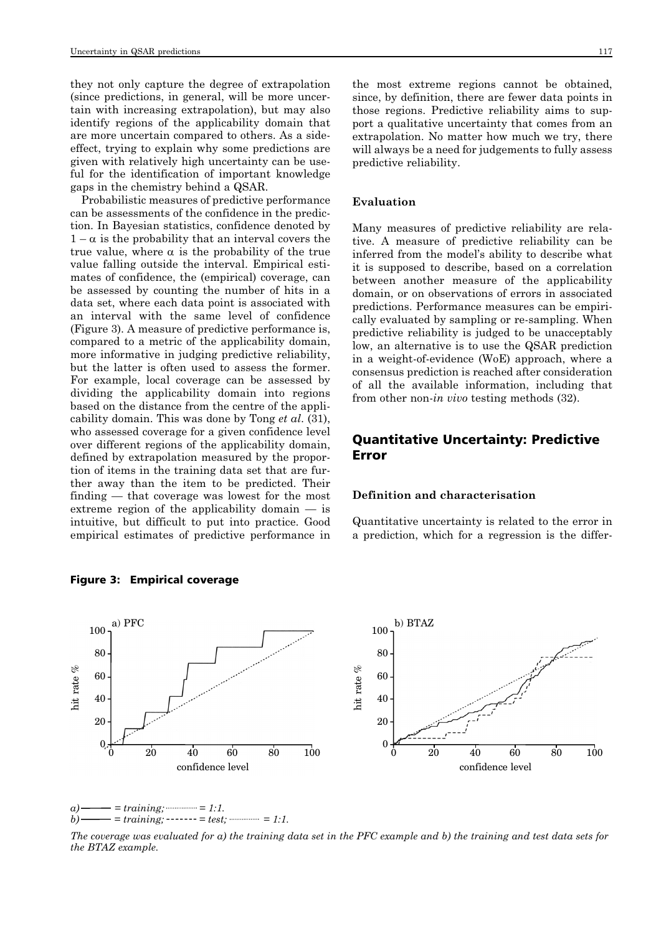they not only capture the degree of extrapolation (since predictions, in general, will be more uncertain with increasing extrapolation), but may also identify regions of the applicability domain that are more uncertain compared to others. As a sideeffect, trying to explain why some predictions are given with relatively high uncertainty can be useful for the identification of important knowledge gaps in the chemistry behind a QSAR.

Probabilistic measures of predictive performance can be assessments of the confidence in the prediction. In Bayesian statistics, confidence denoted by  $1 - \alpha$  is the probability that an interval covers the true value, where  $\alpha$  is the probability of the true value falling outside the interval. Empirical estimates of confidence, the (empirical) coverage, can be assessed by counting the number of hits in a data set, where each data point is associated with an interval with the same level of confidence (Figure 3). A measure of predictive performance is, compared to a metric of the applicability domain, more informative in judging predictive reliability, but the latter is often used to assess the former. For example, local coverage can be assessed by dividing the applicability domain into regions based on the distance from the centre of the applicability domain. This was done by Tong *et al*. (31), who assessed coverage for a given confidence level over different regions of the applicability domain, defined by extrapolation measured by the proportion of items in the training data set that are further away than the item to be predicted. Their finding — that coverage was lowest for the most extreme region of the applicability domain — is intuitive, but difficult to put into practice. Good empirical estimates of predictive performance in

#### 100 80 b) BTAZ 100 80 a) PFC

#### **Evaluation**

Many measures of predictive reliability are relative. A measure of predictive reliability can be inferred from the model's ability to describe what it is supposed to describe, based on a correlation between another measure of the applicability domain, or on observations of errors in associated predictions. Performance measures can be empirically evaluated by sampling or re-sampling. When predictive reliability is judged to be unacceptably low, an alternative is to use the QSAR prediction in a weight-of-evidence (WoE) approach, where a consensus prediction is reached after consideration of all the available information, including that from other non-*in vivo* testing methods (32).

## Quantitative Uncertainty: Predictive Error

#### **Definition and characterisation**

Quantitative uncertainty is related to the error in a prediction, which for a regression is the differ-



Figure 3: Empirical coverage

 $= training$ ;  $= 1:1$ .  $b)$  = training; ------- = test;  $\frac{b}{c}$  = 1:1.

*The coverage was evaluated for a) the training data set in the PFC example and b) the training and test data sets for the BTAZ example.*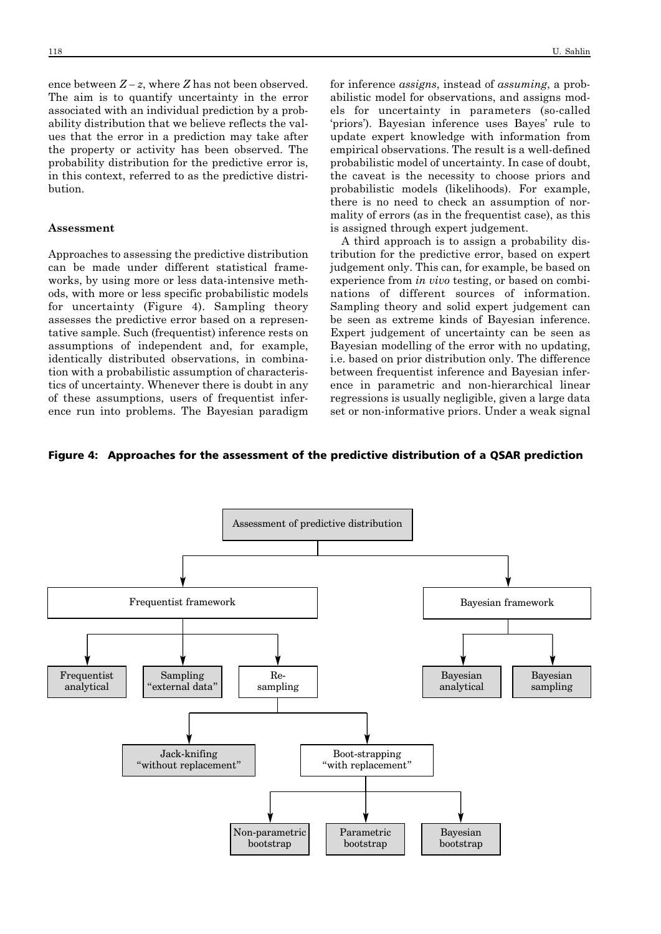ence between  $Z - z$ , where  $Z$  has not been observed. The aim is to quantify uncertainty in the error associated with an individual prediction by a probability distribution that we believe reflects the values that the error in a prediction may take after the property or activity has been observed. The probability distribution for the predictive error is, in this context, referred to as the predictive distribution.

#### **Assessment**

Approaches to assessing the predictive distribution can be made under different statistical frameworks, by using more or less data-intensive methods, with more or less specific probabilistic models for uncertainty (Figure 4). Sampling theory assesses the predictive error based on a representative sample. Such (frequentist) inference rests on assumptions of independent and, for example, identically distributed observations, in combination with a probabilistic assumption of characteristics of uncertainty. Whenever there is doubt in any of these assumptions, users of frequentist inference run into problems. The Bayesian paradigm for inference *assigns*, instead of *assuming*, a probabilistic model for observations, and assigns models for uncertainty in parameters (so-called 'priors'). Bayesian inference uses Bayes' rule to update expert knowledge with information from empirical observations. The result is a well-defined probabilistic model of uncertainty. In case of doubt, the caveat is the necessity to choose priors and probabilistic models (likelihoods). For example, there is no need to check an assumption of normality of errors (as in the frequentist case), as this is assigned through expert judgement.

A third approach is to assign a probability distribution for the predictive error, based on expert judgement only. This can, for example, be based on experience from *in vivo* testing, or based on combinations of different sources of information. Sampling theory and solid expert judgement can be seen as extreme kinds of Bayesian inference. Expert judgement of uncertainty can be seen as Bayesian modelling of the error with no updating, i.e. based on prior distribution only. The difference between frequentist inference and Bayesian inference in parametric and non-hierarchical linear regressions is usually negligible, given a large data set or non-informative priors. Under a weak signal

#### Figure 4: Approaches for the assessment of the predictive distribution of a QSAR prediction

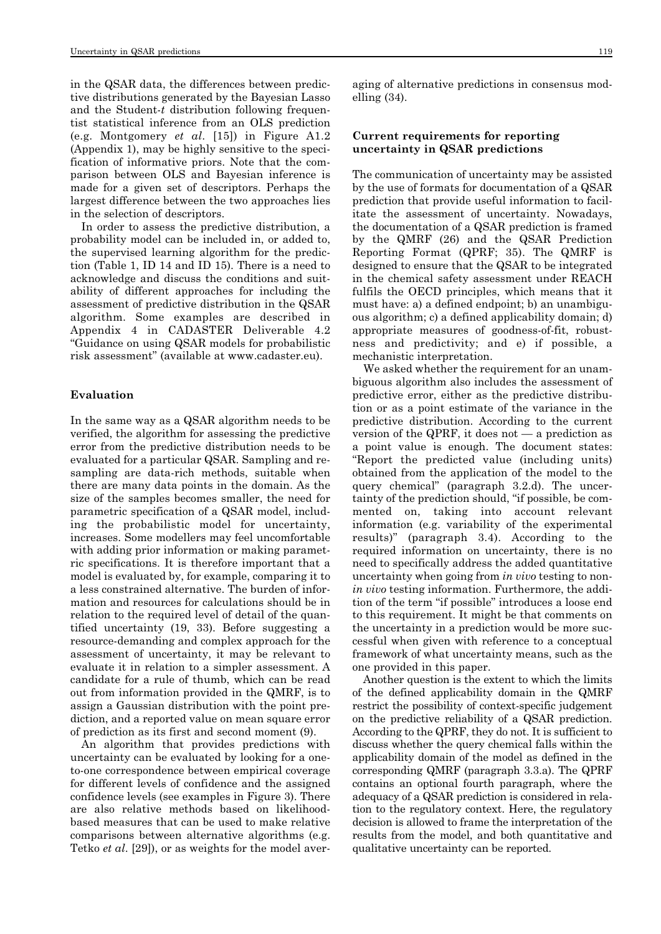in the QSAR data, the differences between predictive distributions generated by the Bayesian Lasso and the Student-*t* distribution following frequentist statistical inference from an OLS prediction (e.g. Montgomery *et al*. [15]) in Figure A1.2 (Appendix 1), may be highly sensitive to the specification of informative priors. Note that the comparison between OLS and Bayesian inference is made for a given set of descriptors. Perhaps the largest difference between the two approaches lies in the selection of descriptors.

In order to assess the predictive distribution, a probability model can be included in, or added to, the supervised learning algorithm for the prediction (Table 1, ID 14 and ID 15). There is a need to acknowledge and discuss the conditions and suitability of different approaches for including the assessment of predictive distribution in the QSAR algorithm. Some examples are described in Appendix 4 in CADASTER Deliverable 4.2 "Guidance on using QSAR models for probabilistic risk assessment" (available at www.cadaster.eu).

#### **Evaluation**

In the same way as a QSAR algorithm needs to be verified, the algorithm for assessing the predictive error from the predictive distribution needs to be evaluated for a particular QSAR. Sampling and resampling are data-rich methods, suitable when there are many data points in the domain. As the size of the samples becomes smaller, the need for parametric specification of a QSAR model, including the probabilistic model for uncertainty, increases. Some modellers may feel uncomfortable with adding prior information or making parametric specifications. It is therefore important that a model is evaluated by, for example, comparing it to a less constrained alternative. The burden of information and resources for calculations should be in relation to the required level of detail of the quantified uncertainty (19, 33). Before suggesting a resource-demanding and complex approach for the assessment of uncertainty, it may be relevant to evaluate it in relation to a simpler assessment. A candidate for a rule of thumb, which can be read out from information provided in the QMRF, is to assign a Gaussian distribution with the point prediction, and a reported value on mean square error of prediction as its first and second moment (9).

An algorithm that provides predictions with uncertainty can be evaluated by looking for a oneto-one correspondence between empirical coverage for different levels of confidence and the assigned confidence levels (see examples in Figure 3). There are also relative methods based on likelihoodbased measures that can be used to make relative comparisons between alternative algorithms (e.g. Tetko *et al*. [29]), or as weights for the model averaging of alternative predictions in consensus modelling (34).

#### **Current requirements for reporting uncertainty in QSAR predictions**

The communication of uncertainty may be assisted by the use of formats for documentation of a QSAR prediction that provide useful information to facilitate the assessment of uncertainty. Nowadays, the documentation of a QSAR prediction is framed by the QMRF (26) and the QSAR Prediction Reporting Format (QPRF; 35). The QMRF is designed to ensure that the QSAR to be integrated in the chemical safety assessment under REACH fulfils the OECD principles, which means that it must have: a) a defined endpoint; b) an unambiguous algorithm; c) a defined applicability domain; d) appropriate measures of goodness-of-fit, robustness and predictivity; and e) if possible, a mechanistic interpretation.

We asked whether the requirement for an unambiguous algorithm also includes the assessment of predictive error, either as the predictive distribution or as a point estimate of the variance in the predictive distribution. According to the current version of the QPRF, it does not — a prediction as a point value is enough. The document states: "Report the predicted value (including units) obtained from the application of the model to the query chemical" (paragraph 3.2.d). The uncertainty of the prediction should, "if possible, be commented on, taking into account relevant information (e.g. variability of the experimental results)" (paragraph 3.4). According to the required information on uncertainty, there is no need to specifically address the added quantitative uncertainty when going from *in vivo* testing to non*in vivo* testing information. Furthermore, the addition of the term "if possible" introduces a loose end to this requirement. It might be that comments on the uncertainty in a prediction would be more successful when given with reference to a conceptual framework of what uncertainty means, such as the one provided in this paper.

Another question is the extent to which the limits of the defined applicability domain in the QMRF restrict the possibility of context-specific judgement on the predictive reliability of a QSAR prediction. According to the QPRF, they do not. It is sufficient to discuss whether the query chemical falls within the applicability domain of the model as defined in the corresponding QMRF (paragraph 3.3.a). The QPRF contains an optional fourth paragraph, where the adequacy of a QSAR prediction is considered in relation to the regulatory context. Here, the regulatory decision is allowed to frame the interpretation of the results from the model, and both quantitative and qualitative uncertainty can be reported.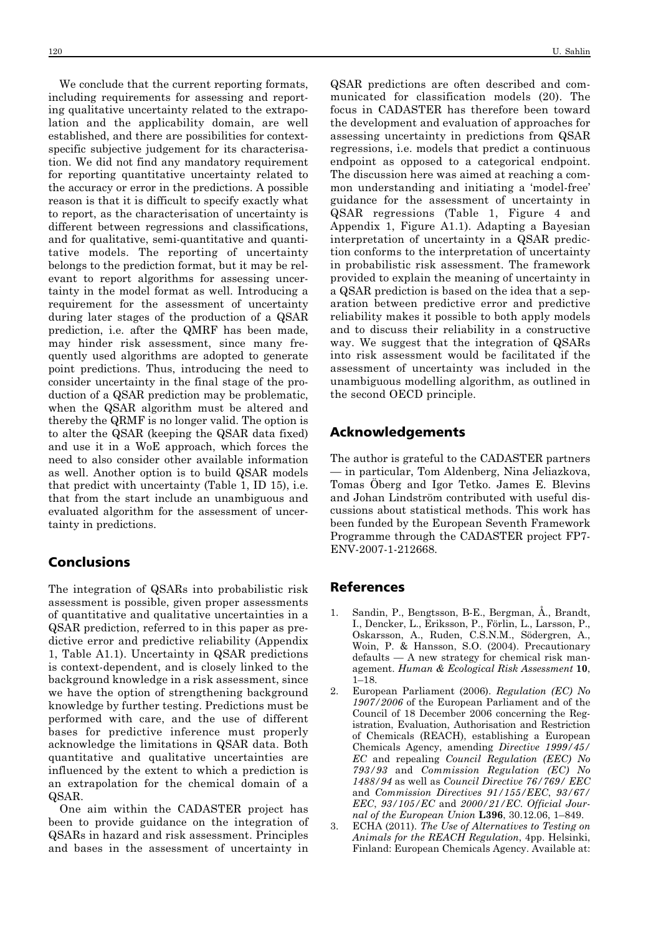We conclude that the current reporting formats, including requirements for assessing and reporting qualitative uncertainty related to the extrapolation and the applicability domain, are well established, and there are possibilities for contextspecific subjective judgement for its characterisation. We did not find any mandatory requirement for reporting quantitative uncertainty related to the accuracy or error in the predictions. A possible reason is that it is difficult to specify exactly what to report, as the characterisation of uncertainty is different between regressions and classifications, and for qualitative, semi-quantitative and quantitative models. The reporting of uncertainty belongs to the prediction format, but it may be relevant to report algorithms for assessing uncertainty in the model format as well. Introducing a requirement for the assessment of uncertainty during later stages of the production of a QSAR prediction, i.e. after the QMRF has been made, may hinder risk assessment, since many frequently used algorithms are adopted to generate point predictions. Thus, introducing the need to consider uncertainty in the final stage of the production of a QSAR prediction may be problematic, when the QSAR algorithm must be altered and thereby the QRMF is no longer valid. The option is to alter the QSAR (keeping the QSAR data fixed) and use it in a WoE approach, which forces the need to also consider other available information as well. Another option is to build QSAR models that predict with uncertainty (Table 1, ID 15), i.e. that from the start include an unambiguous and evaluated algorithm for the assessment of uncertainty in predictions.

## Conclusions

The integration of QSARs into probabilistic risk assessment is possible, given proper assessments of quantitative and qualitative uncertainties in a QSAR prediction, referred to in this paper as predictive error and predictive reliability (Appendix 1, Table A1.1). Uncertainty in QSAR predictions is context-dependent, and is closely linked to the background knowledge in a risk assessment, since we have the option of strengthening background knowledge by further testing. Predictions must be performed with care, and the use of different bases for predictive inference must properly acknowledge the limitations in QSAR data. Both quantitative and qualitative uncertainties are influenced by the extent to which a prediction is an extrapolation for the chemical domain of a QSAR.

One aim within the CADASTER project has been to provide guidance on the integration of QSARs in hazard and risk assessment. Principles and bases in the assessment of uncertainty in

QSAR predictions are often described and communicated for classification models (20). The focus in CADASTER has therefore been toward the development and evaluation of approaches for assessing uncertainty in predictions from QSAR regressions, i.e. models that predict a continuous endpoint as opposed to a categorical endpoint. The discussion here was aimed at reaching a common understanding and initiating a 'model-free' guidance for the assessment of uncertainty in QSAR regressions (Table 1, Figure 4 and Appendix 1, Figure A1.1). Adapting a Bayesian interpretation of uncertainty in a QSAR prediction conforms to the interpretation of uncertainty in probabilistic risk assessment. The framework provided to explain the meaning of uncertainty in a QSAR prediction is based on the idea that a separation between predictive error and predictive reliability makes it possible to both apply models and to discuss their reliability in a constructive way. We suggest that the integration of QSARs into risk assessment would be facilitated if the assessment of uncertainty was included in the unambiguous modelling algorithm, as outlined in the second OECD principle.

### Acknowledgements

The author is grateful to the CADASTER partners — in particular, Tom Aldenberg, Nina Jeliazkova, Tomas Öberg and Igor Tetko. James E. Blevins and Johan Lindström contributed with useful discussions about statistical methods. This work has been funded by the European Seventh Framework Programme through the CADASTER project FP7- ENV-2007-1-212668.

### References

- 1. Sandin, P., Bengtsson, B-E., Bergman, Å., Brandt, I., Dencker, L., Eriksson, P., Förlin, L., Larsson, P., Oskarsson, A., Ruden, C.S.N.M., Södergren, A., Woin, P. & Hansson, S.O. (2004). Precautionary defaults — A new strategy for chemical risk management. *Human & Ecological Risk Assessment* **10**, 1–18.
- 2. European Parliament (2006). *Regulation (EC) No 1907/2006* of the European Parliament and of the Council of 18 December 2006 concerning the Registration, Evaluation, Authorisation and Restriction of Chemicals (REACH), establishing a European Chemicals Agency, amending *Directive 1999/45/ EC* and repealing *Council Regulation (EEC) No 793/93* and *Commission Regulation (EC) No 1488/94* as well as *Council Directive 76/769/ EEC* and *Commission Directives 91/155/EEC*, *93/67/ EEC*, *93/105/EC* and *2000/21/EC*. *Official Jour nal of the European Union* **L396**, 30.12.06, 1–849.
- 3. ECHA (2011). *The Use of Alternatives to Testing on Animals for the REACH Regulation*, 4pp. Helsinki, Finland: European Chemicals Agency. Available at: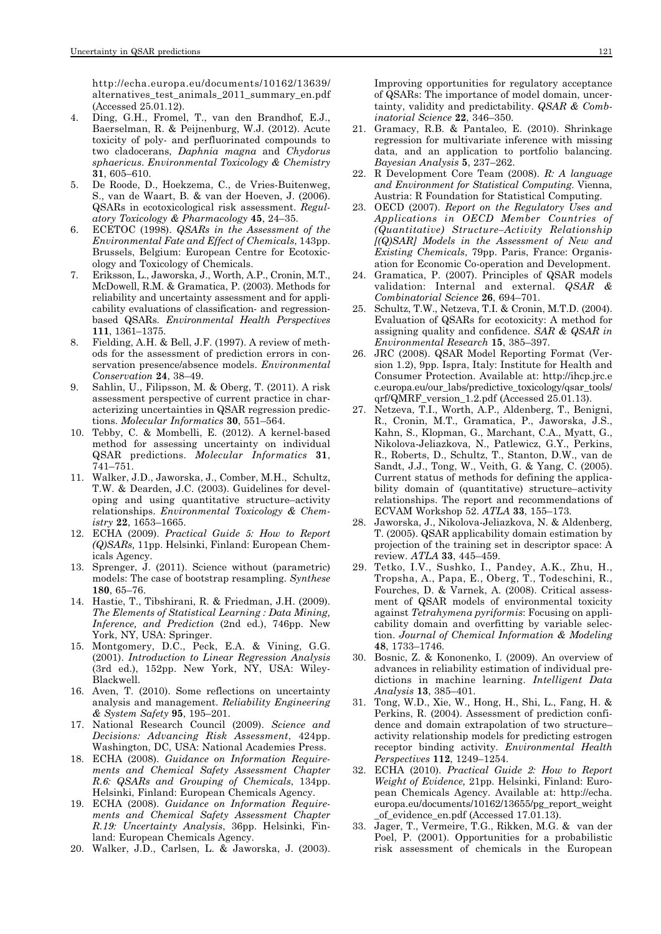http://echa.europa.eu/documents/10162/13639/ alternatives\_test\_animals\_2011\_summary\_en.pdf (Accessed 25.01.12).

- 4. Ding, G.H., Fromel, T., van den Brandhof, E.J., Baerselman, R. & Peijnenburg, W.J. (2012). Acute toxicity of poly- and perfluorinated compounds to two cladocerans, *Daphnia magna* and *Chydorus sphaericus*. *Environmental Toxicology & Chemistry* **31**, 605–610.
- 5. De Roode, D., Hoekzema, C., de Vries-Buitenweg, S., van de Waart, B. & van der Hoeven, J. (2006). QSARs in ecotoxicological risk assessment. *Regul atory Toxicology & Pharmacology* **45**, 24–35.
- 6. ECETOC (1998). *QSARs in the Assessment of the Environmental Fate and Effect of Chemicals*, 143pp. Brussels, Belgium: European Centre for Ecotoxic ology and Toxicology of Chemicals.
- 7. Eriksson, L., Jaworska, J., Worth, A.P., Cronin, M.T., McDowell, R.M. & Gramatica, P. (2003). Methods for reliability and uncertainty assessment and for applicability evaluations of classification- and regressionbased QSARs. *Environmental Health Perspectives* **111**, 1361–1375.
- 8. Fielding, A.H. & Bell, J.F. (1997). A review of methods for the assessment of prediction errors in conservation presence/absence models. *Environmental Conservation* **24**, 38–49.
- 9. Sahlin, U., Filipsson, M. & Oberg, T. (2011). A risk assessment perspective of current practice in characterizing uncertainties in QSAR regression predictions. *Molecular Informatics* **30**, 551–564.
- 10. Tebby, C. & Mombelli, E. (2012). A kernel-based method for assessing uncertainty on individual QSAR predictions. *Molecular Informatics* **31**, 741–751.
- 11. Walker, J.D., Jaworska, J., Comber, M.H., Schultz, T.W. & Dearden, J.C. (2003). Guidelines for developing and using quantitative structure–activity relationships. *Environmental Toxicology & Chem istry* **22**, 1653–1665.
- 12. ECHA (2009). *Practical Guide 5: How to Report (Q)SARs,* 11pp. Helsinki, Finland: European Chem icals Agency.
- 13. Sprenger, J. (2011). Science without (parametric) models: The case of bootstrap resampling. *Synthese* **180**, 65–76.
- 14. Hastie, T., Tibshirani, R. & Friedman, J.H. (2009). *The Elements of Statistical Learning : Data Mining, Inference, and Prediction* (2nd ed.), 746pp. New York, NY, USA: Springer.
- 15. Montgomery, D.C., Peck, E.A. & Vining, G.G. (2001). *Introduction to Linear Regression Analysis* (3rd ed.), 152pp. New York, NY, USA: Wiley-Blackwell.
- 16. Aven, T. (2010). Some reflections on uncertainty analysis and management. *Reliability Engineering & System Safety* **95**, 195–201.
- 17. National Research Council (2009). *Science and Decisions: Advancing Risk Assessment*, 424pp. Washington, DC, USA: National Academies Press.
- 18. ECHA (2008). *Guidance on Information Require ments and Chemical Safety Assessment Chapter R.6: QSARs and Grouping of Chemicals*, 134pp. Helsinki, Finland: European Chemicals Agency.
- 19. ECHA (2008). *Guidance on Information Require ments and Chemical Safety Assessment Chapter R.19: Uncertainty Analysis*, 36pp. Helsinki, Fin land: European Chemicals Agency.
- 20. Walker, J.D., Carlsen, L. & Jaworska, J. (2003).

Improving opportunities for regulatory acceptance of QSARs: The importance of model domain, uncertainty, validity and predictability. *QSAR & Comb ina torial Science* **22**, 346–350.

- 21. Gramacy, R.B. & Pantaleo, E. (2010). Shrinkage regression for multivariate inference with missing data, and an application to portfolio balancing. *Bayesian Analysis* **5**, 237–262.
- 22. R Development Core Team (2008). *R: A language and Environment for Statistical Computing*. Vienna, Austria: R Foundation for Statistical Computing.
- 23. OECD (2007). *Report on the Regulatory Uses and Applications in OECD Member Countries of (Quantitative) Structure–Activity Relationship [(Q)SAR] Models in the Assessment of New and Existing Chemicals*, 79pp. Paris, France: Organis ation for Economic Co-operation and Development.
- 24. Gramatica, P. (2007). Principles of QSAR models validation: Internal and external. *QSAR & Combinatorial Science* **26**, 694–701.
- 25. Schultz, T.W., Netzeva, T.I. & Cronin, M.T.D. (2004). Evaluation of QSARs for ecotoxicity: A method for assigning quality and confidence. *SAR & QSAR in Environmental Research* **15**, 385–397.
- 26. JRC (2008). QSAR Model Reporting Format (Ver sion 1.2), 9pp. Ispra, Italy: Institute for Health and Consumer Protection. Available at: http://ihcp.jrc.e c.europa.eu/our\_labs/predictive\_toxicology/qsar\_tools/ qrf/QMRF\_version\_1.2.pdf (Accessed 25.01.13).
- 27. Netzeva, T.I., Worth, A.P., Aldenberg, T., Benigni, R., Cronin, M.T., Gramatica, P., Jaworska, J.S., Kahn, S., Klopman, G., Marchant, C.A., Myatt, G., Nikolova-Jeliazkova, N., Patlewicz, G.Y., Perkins, R., Roberts, D., Schultz, T., Stanton, D.W., van de Sandt, J.J., Tong, W., Veith, G. & Yang, C. (2005). Current status of methods for defining the applicability domain of (quantitative) structure–activity relationships. The report and recommendations of ECVAM Workshop 52. *ATLA* **33**, 155–173.
- 28. Jaworska, J., Nikolova-Jeliazkova, N. & Aldenberg, T. (2005). QSAR applicability domain estimation by projection of the training set in descriptor space: A review. *ATLA* **33**, 445–459.
- 29. Tetko, I.V., Sushko, I., Pandey, A.K., Zhu, H., Tropsha, A., Papa, E., Oberg, T., Todeschini, R., Fourches, D. & Varnek, A. (2008). Critical assessment of QSAR models of environmental toxicity against *Tetrahymena pyriformis*: Focusing on applicability domain and overfitting by variable selection. *Journal of Chemical Information & Modeling* **48**, 1733–1746.
- 30. Bosnic, Z. & Kononenko, I. (2009). An overview of advances in reliability estimation of individual predictions in machine learning. *Intelligent Data Analysis* **13**, 385–401.
- 31. Tong, W.D., Xie, W., Hong, H., Shi, L., Fang, H. & Perkins, R. (2004). Assessment of prediction confidence and domain extrapolation of two structure– activity relationship models for predicting estrogen receptor binding activity. *Environmental Health Perspectives* **112**, 1249–1254.
- 32. ECHA (2010). *Practical Guide 2: How to Report Weight of Evidence, 21pp. Helsinki, Finland: Euro*pean Chemicals Agency. Available at: http://echa. europa.eu/documents/10162/13655/pg\_report\_weight \_of\_evidence\_en.pdf (Accessed 17.01.13).
- 33. Jager, T., Vermeire, T.G., Rikken, M.G. & van der Poel, P. (2001). Opportunities for a probabilistic risk assessment of chemicals in the European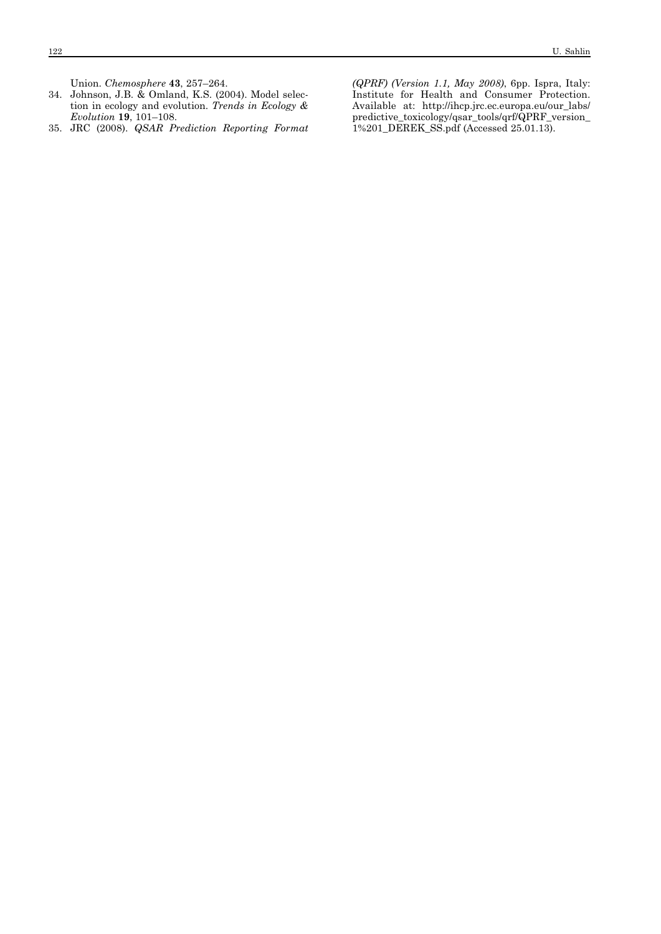Union. *Chemosphere* **43**, 257–264.

- 34. Johnson, J.B. & Omland, K.S. (2004). Model selection in ecology and evolution. *Trends in Ecology & Evolution* **19**, 101–108.
- 35. JRC (2008). *QSAR Prediction Reporting Format*

*(QPRF) (Version 1.1, May 2008)*, 6pp. Ispra, Italy: Institute for Health and Consumer Protection. Available at: http://ihcp.jrc.ec.europa.eu/our\_labs/ predictive\_toxicology/qsar\_tools/qrf/QPRF\_version\_ 1%201\_DEREK\_SS.pdf (Accessed 25.01.13).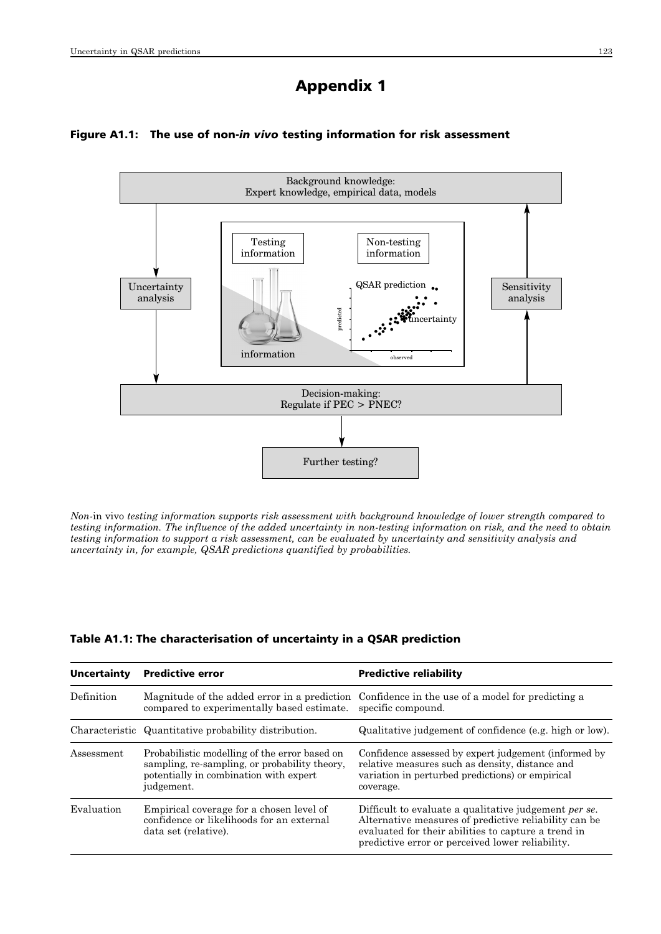# Appendix 1

## Figure A1.1: The use of non-*in vivo* testing information for risk assessment



*Non-*in vivo *testing information supports risk assessment with background knowledge of lower strength compared to testing information. The influence of the added uncertainty in non-testing information on risk, and the need to obtain testing information to support a risk assessment, can be evaluated by uncertainty and sensitivity analysis and uncertainty in, for example, QSAR predictions quantified by probabilities.*

## Table A1.1: The characterisation of uncertainty in a QSAR prediction

| Uncertainty | <b>Predictive error</b>                                                                                                                                | <b>Predictive reliability</b>                                                                                                                                                                                                     |
|-------------|--------------------------------------------------------------------------------------------------------------------------------------------------------|-----------------------------------------------------------------------------------------------------------------------------------------------------------------------------------------------------------------------------------|
| Definition  | Magnitude of the added error in a prediction<br>compared to experimentally based estimate.                                                             | Confidence in the use of a model for predicting a<br>specific compound.                                                                                                                                                           |
|             | Characteristic Quantitative probability distribution.                                                                                                  | Qualitative judgement of confidence (e.g. high or low).                                                                                                                                                                           |
| Assessment  | Probabilistic modelling of the error based on<br>sampling, re-sampling, or probability theory,<br>potentially in combination with expert<br>judgement. | Confidence assessed by expert judgement (informed by<br>relative measures such as density, distance and<br>variation in perturbed predictions) or empirical<br>coverage.                                                          |
| Evaluation  | Empirical coverage for a chosen level of<br>confidence or likelihoods for an external<br>data set (relative).                                          | Difficult to evaluate a qualitative judgement <i>per se</i> .<br>Alternative measures of predictive reliability can be<br>evaluated for their abilities to capture a trend in<br>predictive error or perceived lower reliability. |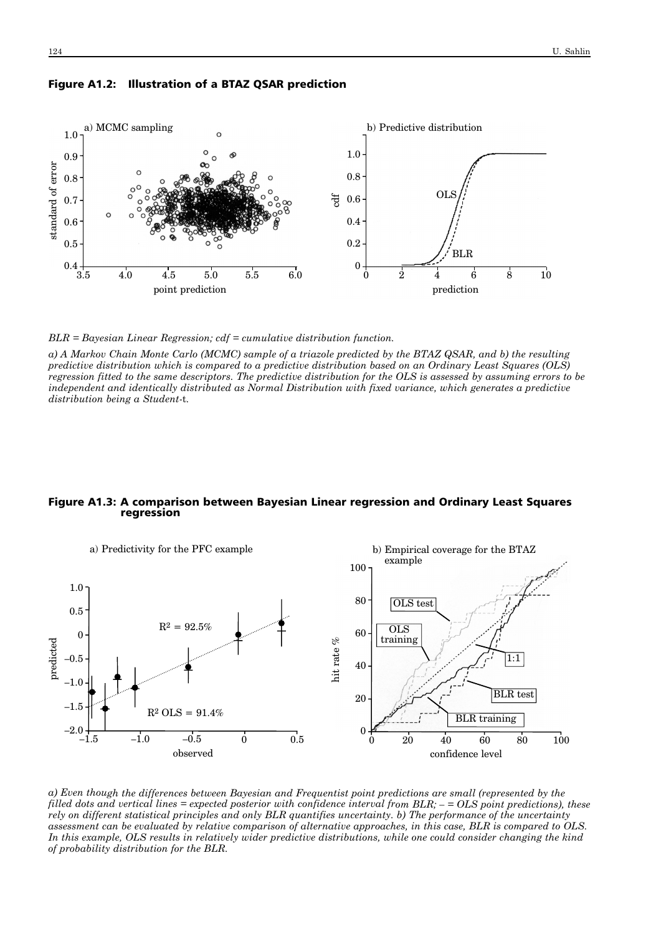

#### Figure A1.2: Illustration of a BTAZ QSAR prediction

*BLR = Bayesian Linear Regression; cdf = cumulative distribution function.*

*a) A Markov Chain Monte Carlo (MCMC) sample of a triazole predicted by the BTAZ QSAR, and b) the resulting predictive distribution which is compared to a predictive distribution based on an Ordinary Least Squares (OLS) regression fitted to the same descriptors. The predictive distribution for the OLS is assessed by assuming errors to be independent and identically distributed as Normal Distribution with fixed variance, which generates a predictive distribution being a Student-*t*.* 

#### Figure A1.3: A comparison between Bayesian Linear regression and Ordinary Least Squares regression



*a) Even though the differences between Bayesian and Frequentist point predictions are small (represented by the filled dots and vertical lines = expected posterior with confidence interval from BLR; – = OLS point predictions), these rely on different statistical principles and only BLR quantifies uncertainty. b) The performance of the uncertainty assessment can be evaluated by relative comparison of alternative approaches, in this case, BLR is compared to OLS. In this example, OLS results in relatively wider predictive distributions, while one could consider changing the kind of probability distribution for the BLR.*